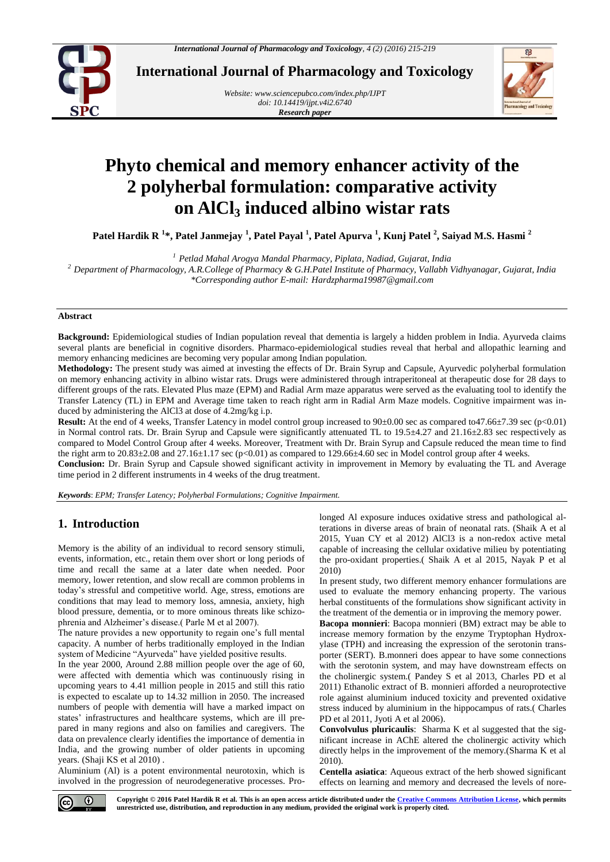

**International Journal of Pharmacology and Toxicology**

*Website: [www.sciencepubco.com/index.php/IJPT](http://www.sciencepubco.com/index.php/IJPT) doi: 10.14419/ijpt.v4i2.6740 Research paper*



# **Phyto chemical and memory enhancer activity of the 2 polyherbal formulation: comparative activity on AlCl<sup>3</sup> induced albino wistar rats**

**Patel Hardik R <sup>1</sup> \*, Patel Janmejay <sup>1</sup> , Patel Payal <sup>1</sup> , Patel Apurva <sup>1</sup> , Kunj Patel <sup>2</sup> , Saiyad M.S. Hasmi <sup>2</sup>**

*<sup>1</sup> Petlad Mahal Arogya Mandal Pharmacy, Piplata, Nadiad, Gujarat, India*

*<sup>2</sup> Department of Pharmacology, A.R.College of Pharmacy & G.H.Patel Institute of Pharmacy, Vallabh Vidhyanagar, Gujarat, India \*Corresponding author E-mail: Hardzpharma19987@gmail.com*

#### **Abstract**

**Background:** Epidemiological studies of Indian population reveal that dementia is largely a hidden problem in India. Ayurveda claims several plants are beneficial in cognitive disorders. Pharmaco-epidemiological studies reveal that herbal and allopathic learning and memory enhancing medicines are becoming very popular among Indian population.

**Methodology:** The present study was aimed at investing the effects of Dr. Brain Syrup and Capsule, Ayurvedic polyherbal formulation on memory enhancing activity in albino wistar rats. Drugs were administered through intraperitoneal at therapeutic dose for 28 days to different groups of the rats. Elevated Plus maze (EPM) and Radial Arm maze apparatus were served as the evaluating tool to identify the Transfer Latency (TL) in EPM and Average time taken to reach right arm in Radial Arm Maze models. Cognitive impairment was induced by administering the AlCl3 at dose of 4.2mg/kg i.p.

**Result:** At the end of 4 weeks, Transfer Latency in model control group increased to  $90\pm0.00$  sec as compared to47.66 $\pm$ 7.39 sec (p<0.01) in Normal control rats. Dr. Brain Syrup and Capsule were significantly attenuated TL to 19.5±4.27 and 21.16±2.83 sec respectively as compared to Model Control Group after 4 weeks. Moreover, Treatment with Dr. Brain Syrup and Capsule reduced the mean time to find the right arm to 20.83±2.08 and 27.16±1.17 sec (p<0.01) as compared to 129.66±4.60 sec in Model control group after 4 weeks.

**Conclusion:** Dr. Brain Syrup and Capsule showed significant activity in improvement in Memory by evaluating the TL and Average time period in 2 different instruments in 4 weeks of the drug treatment.

*Keywords*: *EPM; Transfer Latency; Polyherbal Formulations; Cognitive Impairment.*

# **1. Introduction**

Memory is the ability of an individual to record sensory stimuli, events, information, etc., retain them over short or long periods of time and recall the same at a later date when needed. Poor memory, lower retention, and slow recall are common problems in today's stressful and competitive world. Age, stress, emotions are conditions that may lead to memory loss, amnesia, anxiety, high blood pressure, dementia, or to more ominous threats like schizophrenia and Alzheimer's disease.( Parle M et al 2007).

The nature provides a new opportunity to regain one's full mental capacity. A number of herbs traditionally employed in the Indian system of Medicine "Ayurveda" have yielded positive results.

In the year 2000, Around 2.88 million people over the age of 60, were affected with dementia which was continuously rising in upcoming years to 4.41 million people in 2015 and still this ratio is expected to escalate up to 14.32 million in 2050. The increased numbers of people with dementia will have a marked impact on states' infrastructures and healthcare systems, which are ill prepared in many regions and also on families and caregivers. The data on prevalence clearly identifies the importance of dementia in India, and the growing number of older patients in upcoming years. (Shaji KS et al 2010) .

Aluminium (Al) is a potent environmental neurotoxin, which is involved in the progression of neurodegenerative processes. Prolonged Al exposure induces oxidative stress and pathological alterations in diverse areas of brain of neonatal rats. (Shaik A et al 2015, Yuan CY et al 2012) AlCl3 is a non-redox active metal capable of increasing the cellular oxidative milieu by potentiating the pro-oxidant properties.( Shaik A et al 2015, Nayak P et al 2010)

In present study, two different memory enhancer formulations are used to evaluate the memory enhancing property. The various herbal constituents of the formulations show significant activity in the treatment of the dementia or in improving the memory power.

**Bacopa monnieri**: Bacopa monnieri (BM) extract may be able to increase memory formation by the enzyme Tryptophan Hydroxylase (TPH) and increasing the expression of the serotonin transporter (SERT). B.monneri does appear to have some connections with the serotonin system, and may have downstream effects on the cholinergic system.( Pandey S et al 2013, Charles PD et al 2011) Ethanolic extract of B. monnieri afforded a neuroprotective role against aluminium induced toxicity and prevented oxidative stress induced by aluminium in the hippocampus of rats.( Charles PD et al 2011, Jyoti A et al 2006).

**Convolvulus pluricaulis**: Sharma K et al suggested that the significant increase in AChE altered the cholinergic activity which directly helps in the improvement of the memory.(Sharma K et al 2010).

**Centella asiatica**: Aqueous extract of the herb showed significant effects on learning and memory and decreased the levels of nore-



**Copyright © 2016 Patel Hardik R et al. This is an open access article distributed under the [Creative Commons Attribution License,](http://creativecommons.org/licenses/by/3.0/) which permits unrestricted use, distribution, and reproduction in any medium, provided the original work is properly cited.**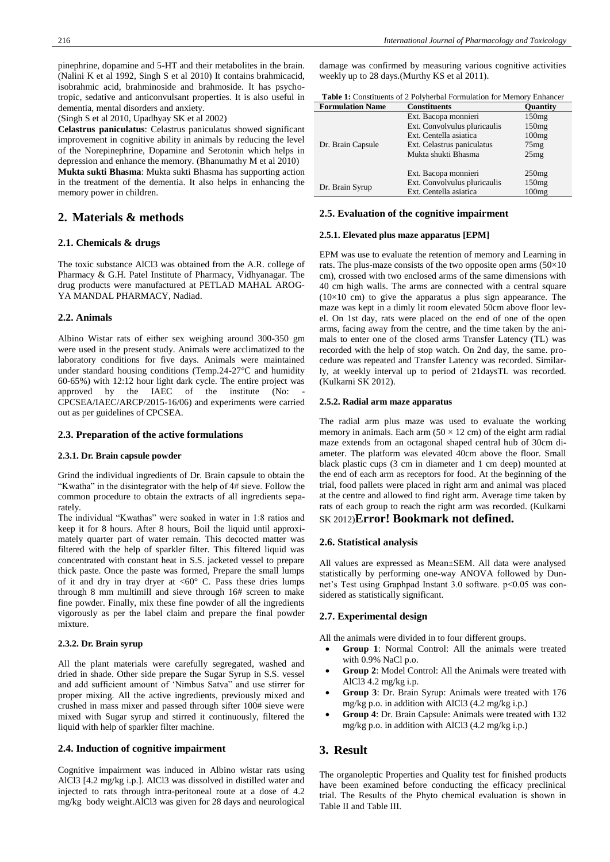pinephrine, dopamine and 5-HT and their metabolites in the brain. (Nalini K et al 1992, Singh S et al 2010) It contains brahmicacid, isobrahmic acid, brahminoside and brahmoside. It has psychotropic, sedative and anticonvulsant properties. It is also useful in dementia, mental disorders and anxiety.

(Singh S et al 2010, Upadhyay SK et al 2002)

**Celastrus paniculatus**: Celastrus paniculatus showed significant improvement in cognitive ability in animals by reducing the level of the Norepinephrine, Dopamine and Serotonin which helps in depression and enhance the memory. (Bhanumathy M et al 2010) **Mukta sukti Bhasma**: Mukta sukti Bhasma has supporting action in the treatment of the dementia. It also helps in enhancing the memory power in children.

# **2. Materials & methods**

## **2.1. Chemicals & drugs**

The toxic substance AlCl3 was obtained from the A.R. college of Pharmacy & G.H. Patel Institute of Pharmacy, Vidhyanagar. The drug products were manufactured at PETLAD MAHAL AROG-YA MANDAL PHARMACY, Nadiad.

## **2.2. Animals**

Albino Wistar rats of either sex weighing around 300-350 gm were used in the present study. Animals were acclimatized to the laboratory conditions for five days. Animals were maintained under standard housing conditions (Temp.24-27°C and humidity 60-65%) with 12:12 hour light dark cycle. The entire project was approved by the IAEC of the institute (No: CPCSEA/IAEC/ARCP/2015-16/06) and experiments were carried out as per guidelines of CPCSEA.

## **2.3. Preparation of the active formulations**

#### **2.3.1. Dr. Brain capsule powder**

Grind the individual ingredients of Dr. Brain capsule to obtain the "Kwatha" in the disintegrator with the help of 4# sieve. Follow the common procedure to obtain the extracts of all ingredients separately.

The individual "Kwathas" were soaked in water in 1:8 ratios and keep it for 8 hours. After 8 hours, Boil the liquid until approximately quarter part of water remain. This decocted matter was filtered with the help of sparkler filter. This filtered liquid was concentrated with constant heat in S.S. jacketed vessel to prepare thick paste. Once the paste was formed, Prepare the small lumps of it and dry in tray dryer at <60° C. Pass these dries lumps through 8 mm multimill and sieve through 16# screen to make fine powder. Finally, mix these fine powder of all the ingredients vigorously as per the label claim and prepare the final powder mixture.

## **2.3.2. Dr. Brain syrup**

All the plant materials were carefully segregated, washed and dried in shade. Other side prepare the Sugar Syrup in S.S. vessel and add sufficient amount of 'Nimbus Satva" and use stirrer for proper mixing. All the active ingredients, previously mixed and crushed in mass mixer and passed through sifter 100# sieve were mixed with Sugar syrup and stirred it continuously, filtered the liquid with help of sparkler filter machine.

#### **2.4. Induction of cognitive impairment**

Cognitive impairment was induced in Albino wistar rats using AlCl3 [4.2 mg/kg i.p.]. AlCl3 was dissolved in distilled water and injected to rats through intra-peritoneal route at a dose of 4.2 mg/kg body weight.AlCl3 was given for 28 days and neurological damage was confirmed by measuring various cognitive activities weekly up to 28 days.(Murthy KS et al 2011).

| <b>Table 1:</b> Constituents of 2 Polyherbal Formulation for Memory Enhancer |  |
|------------------------------------------------------------------------------|--|
|                                                                              |  |

| <b>Formulation Name</b> | <b>Constituents</b>          | <b>Ouantity</b> |
|-------------------------|------------------------------|-----------------|
|                         | Ext. Bacopa monnieri         | 150mg           |
|                         | Ext. Convolvulus pluricaulis | 150mg           |
|                         | Ext. Centella asiatica       | 100mg           |
| Dr. Brain Capsule       | Ext. Celastrus paniculatus   | 75mg            |
|                         | Mukta shukti Bhasma          | 25mg            |
|                         |                              |                 |
|                         | Ext. Bacopa monnieri         | 250mg           |
| Dr. Brain Syrup         | Ext. Convolvulus pluricaulis | 150mg           |
|                         | Ext. Centella asiatica       | 100mg           |

## **2.5. Evaluation of the cognitive impairment**

#### **2.5.1. Elevated plus maze apparatus [EPM]**

EPM was use to evaluate the retention of memory and Learning in rats. The plus-maze consists of the two opposite open arms  $(50\times10)$ cm), crossed with two enclosed arms of the same dimensions with 40 cm high walls. The arms are connected with a central square  $(10\times10$  cm) to give the apparatus a plus sign appearance. The maze was kept in a dimly lit room elevated 50cm above floor level. On 1st day, rats were placed on the end of one of the open arms, facing away from the centre, and the time taken by the animals to enter one of the closed arms Transfer Latency (TL) was recorded with the help of stop watch. On 2nd day, the same. procedure was repeated and Transfer Latency was recorded. Similarly, at weekly interval up to period of 21daysTL was recorded. (Kulkarni SK 2012).

#### **2.5.2. Radial arm maze apparatus**

The radial arm plus maze was used to evaluate the working memory in animals. Each arm  $(50 \times 12 \text{ cm})$  of the eight arm radial maze extends from an octagonal shaped central hub of 30cm diameter. The platform was elevated 40cm above the floor. Small black plastic cups (3 cm in diameter and 1 cm deep) mounted at the end of each arm as receptors for food. At the beginning of the trial, food pallets were placed in right arm and animal was placed at the centre and allowed to find right arm. Average time taken by rats of each group to reach the right arm was recorded. (Kulkarni

# SK 2012)**Error! Bookmark not defined.**

#### **2.6. Statistical analysis**

All values are expressed as Mean±SEM. All data were analysed statistically by performing one-way ANOVA followed by Dunnet's Test using Graphpad Instant 3.0 software. p<0.05 was considered as statistically significant.

## **2.7. Experimental design**

All the animals were divided in to four different groups.

- **Group 1**: Normal Control: All the animals were treated with 0.9% NaCl p.o.
- **Group 2**: Model Control: All the Animals were treated with AlCl3 4.2 mg/kg i.p.
- **Group 3**: Dr. Brain Syrup: Animals were treated with 176 mg/kg p.o. in addition with AlCl3 (4.2 mg/kg i.p.)
- **Group 4**: Dr. Brain Capsule: Animals were treated with 132 mg/kg p.o. in addition with AlCl3 (4.2 mg/kg i.p.)

## **3. Result**

The organoleptic Properties and Quality test for finished products have been examined before conducting the efficacy preclinical trial. The Results of the Phyto chemical evaluation is shown in Table II and Table III.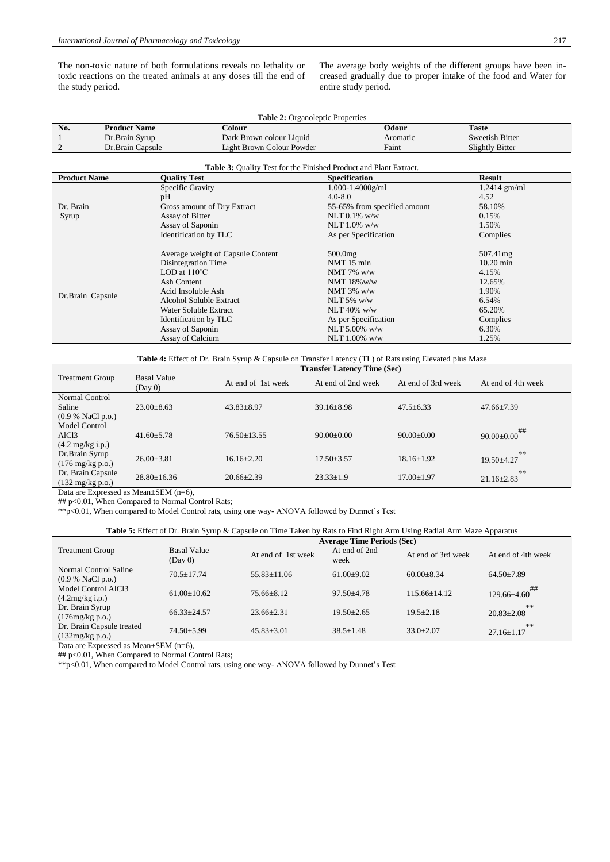The non-toxic nature of both formulations reveals no lethality or toxic reactions on the treated animals at any doses till the end of the study period.

The average body weights of the different groups have been increased gradually due to proper intake of the food and Water for entire study period.

| No.<br><b>Product Name</b><br><b>Taste</b><br>Colour<br>Odour<br>Sweetish Bitter<br>Dark Brown colour Liquid<br>Aromatic | <b>Table 2:</b> Organoleptic Properties |                |  |  |  |  |
|--------------------------------------------------------------------------------------------------------------------------|-----------------------------------------|----------------|--|--|--|--|
|                                                                                                                          |                                         |                |  |  |  |  |
|                                                                                                                          |                                         | Dr.Brain Syrup |  |  |  |  |
| Faint<br>Light Brown Colour Powder<br>Slightly Bitter<br>Dr.Brain Capsule                                                |                                         |                |  |  |  |  |

| Table 3: Quality Test for the Finished Product and Plant Extract. |                                   |                              |                |  |  |
|-------------------------------------------------------------------|-----------------------------------|------------------------------|----------------|--|--|
| <b>Product Name</b>                                               | <b>Quality Test</b>               | <b>Specification</b>         | <b>Result</b>  |  |  |
|                                                                   | Specific Gravity                  | $1.000 - 1.4000$ g/ml        | $1.2414$ gm/ml |  |  |
|                                                                   | pH                                | $4.0 - 8.0$                  | 4.52           |  |  |
| Dr. Brain                                                         | Gross amount of Dry Extract       | 55-65% from specified amount | 58.10%         |  |  |
| Syrup                                                             | Assay of Bitter                   | NLT $0.1\%$ w/w              | 0.15%          |  |  |
|                                                                   | Assay of Saponin                  | NLT $1.0\%$ w/w              | 1.50%          |  |  |
|                                                                   | Identification by TLC             | As per Specification         | Complies       |  |  |
| Dr.Brain Capsule                                                  | Average weight of Capsule Content | $500.0$ mg                   | 507.41mg       |  |  |
|                                                                   | Disintegration Time               | NMT 15 min                   | $10.20$ min    |  |  |
|                                                                   | LOD at $110^{\circ}$ C            | NMT 7% $w/w$                 | 4.15%          |  |  |
|                                                                   | Ash Content                       | NMT $18\%$ w/w               | 12.65%         |  |  |
|                                                                   | Acid Insoluble Ash                | NMT $3\%$ w/w                | 1.90%          |  |  |
|                                                                   | Alcohol Soluble Extract           | NLT $5\%$ w/w                | 6.54%          |  |  |
|                                                                   | Water Soluble Extract             | NLT 40% $w/w$                | 65.20%         |  |  |
|                                                                   | Identification by TLC             | As per Specification         | Complies       |  |  |
|                                                                   | Assay of Saponin                  | NLT $5.00\%$ w/w             | 6.30%          |  |  |
|                                                                   | Assay of Calcium                  | NLT $1.00\%$ w/w             | 1.25%          |  |  |

#### **Table 4:** Effect of Dr. Brain Syrup & Capsule on Transfer Latency (TL) of Rats using Elevated plus Maze

|                            |                               | <b>Transfer Latency Time (Sec)</b> |                    |                    |                    |  |
|----------------------------|-------------------------------|------------------------------------|--------------------|--------------------|--------------------|--|
| <b>Treatment Group</b>     | <b>Basal Value</b><br>(Day 0) | At end of 1st week                 | At end of 2nd week | At end of 3rd week | At end of 4th week |  |
| Normal Control             |                               |                                    |                    |                    |                    |  |
| Saline                     | $23.00 \pm 8.63$              | $43.83 \pm 8.97$                   | $39.16 \pm 8.98$   | $47.5 \pm 6.33$    | $47.66 \pm 7.39$   |  |
| (0.9 % NaCl p.o.)          |                               |                                    |                    |                    |                    |  |
| Model Control              |                               |                                    |                    |                    | ##                 |  |
| AlC <sub>13</sub>          | $41.60 + 5.78$                | $76.50 \pm 13.55$                  | $90.00+0.00$       | $90.00+0.00$       | $90.00 \pm 0.00$   |  |
| $(4.2 \text{ mg/kg i.p.})$ |                               |                                    |                    |                    |                    |  |
| Dr.Brain Syrup             | $26.00+3.81$                  | $16.16 + 2.20$                     | $17.50 \pm 3.57$   | $18.16 \pm 1.92$   | **                 |  |
| $(176 \text{ mg/kg p.o.})$ |                               |                                    |                    |                    | $19.50 \pm 4.27$   |  |
| Dr. Brain Capsule          | $28.80 \pm 16.36$             | $20.66 \pm 2.39$                   | $23.33 \pm 1.9$    | $17.00 \pm 1.97$   | **                 |  |
| $(132 \text{ mg/kg p.o.})$ |                               |                                    |                    |                    | $21.16 \pm 2.83$   |  |
|                            |                               |                                    |                    |                    |                    |  |

Data are Expressed as Mean±SEM (n=6),

## p<0.01, When Compared to Normal Control Rats;

\*\*p<0.01, When compared to Model Control rats, using one way- ANOVA followed by Dunnet's Test

| <b>Table 5:</b> Effect of Dr. Brain Syrup & Capsule on Time Taken by Rats to Find Right Arm Using Radial Arm Maze Apparatus |                               |                                   |                       |                    |                        |  |
|-----------------------------------------------------------------------------------------------------------------------------|-------------------------------|-----------------------------------|-----------------------|--------------------|------------------------|--|
|                                                                                                                             |                               | <b>Average Time Periods (Sec)</b> |                       |                    |                        |  |
| <b>Treatment Group</b>                                                                                                      | <b>Basal Value</b><br>(Day 0) | At end of 1st week                | At end of 2nd<br>week | At end of 3rd week | At end of 4th week     |  |
| Normal Control Saline<br>(0.9 % NaCl p.o.)                                                                                  | $70.5 + 17.74$                | $55.83 \pm 11.06$                 | $61.00 \pm 9.02$      | $60.00 \pm 8.34$   | $64.50 \pm 7.89$       |  |
| Model Control AlCl3<br>$(4.2mg/kg$ i.p.)                                                                                    | $61.00 \pm 10.62$             | $75.66 + 8.12$                    | $97.50 + 4.78$        | $115.66 + 14.12$   | ##<br>$129.66\pm4.60$  |  |
| Dr. Brain Syrup<br>(176mg/kg p.o.)                                                                                          | $66.33 + 24.57$               | $23.66 + 2.31$                    | $19.50 + 2.65$        | $19.5 + 2.18$      | **<br>$20.83 \pm 2.08$ |  |
| Dr. Brain Capsule treated<br>(132mg/kg p.o.)                                                                                | $74.50 \pm 5.99$              | $45.83 \pm 3.01$                  | $38.5 \pm 1.48$       | $33.0 \pm 2.07$    | **<br>$27.16 \pm 1.17$ |  |

Data are Expressed as Mean±SEM (n=6),

## p<0.01, When Compared to Normal Control Rats;

\*\*p<0.01, When compared to Model Control rats, using one way- ANOVA followed by Dunnet's Test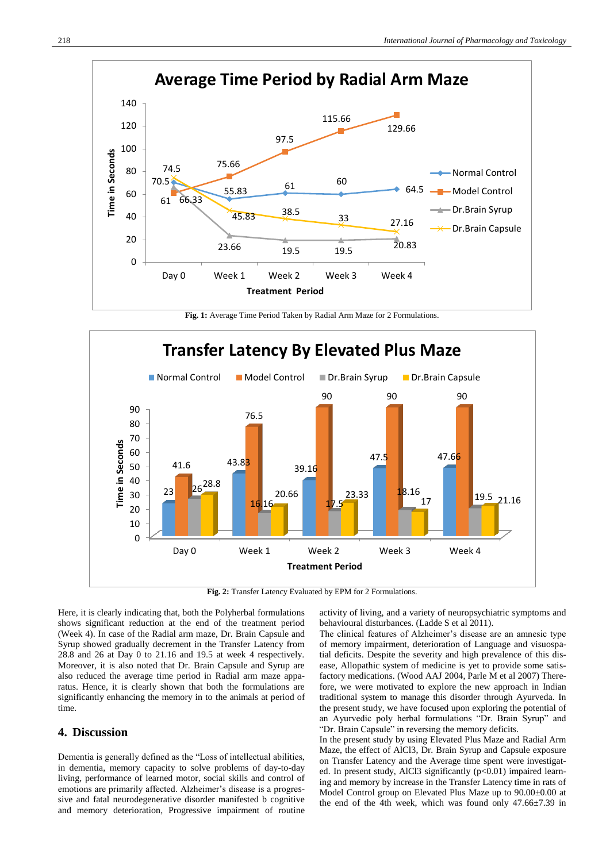

**Fig. 1:** Average Time Period Taken by Radial Arm Maze for 2 Formulations.



**Fig. 2:** Transfer Latency Evaluated by EPM for 2 Formulations.

Here, it is clearly indicating that, both the Polyherbal formulations shows significant reduction at the end of the treatment period (Week 4). In case of the Radial arm maze, Dr. Brain Capsule and Syrup showed gradually decrement in the Transfer Latency from 28.8 and 26 at Day 0 to 21.16 and 19.5 at week 4 respectively. Moreover, it is also noted that Dr. Brain Capsule and Syrup are also reduced the average time period in Radial arm maze apparatus. Hence, it is clearly shown that both the formulations are significantly enhancing the memory in to the animals at period of time.

# **4. Discussion**

Dementia is generally defined as the "Loss of intellectual abilities, in dementia, memory capacity to solve problems of day-to-day living, performance of learned motor, social skills and control of emotions are primarily affected. Alzheimer's disease is a progressive and fatal neurodegenerative disorder manifested b cognitive and memory deterioration, Progressive impairment of routine

activity of living, and a variety of neuropsychiatric symptoms and behavioural disturbances. (Ladde S et al 2011).

The clinical features of Alzheimer's disease are an amnesic type of memory impairment, deterioration of Language and visuospatial deficits. Despite the severity and high prevalence of this disease, Allopathic system of medicine is yet to provide some satisfactory medications. (Wood AAJ 2004, Parle M et al 2007) Therefore, we were motivated to explore the new approach in Indian traditional system to manage this disorder through Ayurveda. In the present study, we have focused upon exploring the potential of an Ayurvedic poly herbal formulations "Dr. Brain Syrup" and "Dr. Brain Capsule" in reversing the memory deficits.

In the present study by using Elevated Plus Maze and Radial Arm Maze, the effect of AlCl3, Dr. Brain Syrup and Capsule exposure on Transfer Latency and the Average time spent were investigated. In present study, AlCl3 significantly (p<0.01) impaired learning and memory by increase in the Transfer Latency time in rats of Model Control group on Elevated Plus Maze up to 90.00±0.00 at the end of the 4th week, which was found only 47.66±7.39 in